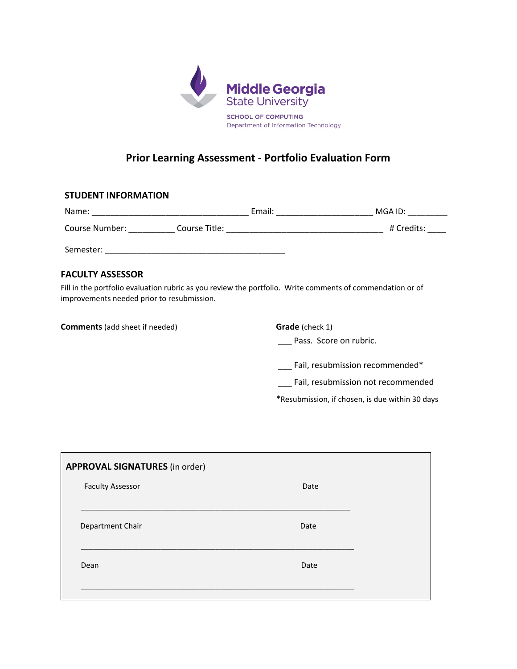

## **Prior Learning Assessment ‐ Portfolio Evaluation Form**

## **STUDENT INFORMATION**

| Name:          |               | Email: | MGA ID:    |
|----------------|---------------|--------|------------|
| Course Number: | Course Title: |        | # Credits: |
| Semester:      |               |        |            |

## **FACULTY ASSESSOR**

Fill in the portfolio evaluation rubric as you review the portfolio. Write comments of commendation or of improvements needed prior to resubmission.

**Comments** (add sheet if needed) **Grade** (check 1)

\_\_\_ Pass. Score on rubric.

\_\_\_ Fail, resubmission recommended\*

\_\_\_ Fail, resubmission not recommended

\*Resubmission, if chosen, is due within 30 days

| <b>APPROVAL SIGNATURES</b> (in order) |      |
|---------------------------------------|------|
| <b>Faculty Assessor</b>               | Date |
| Department Chair                      | Date |
| Dean                                  | Date |
|                                       |      |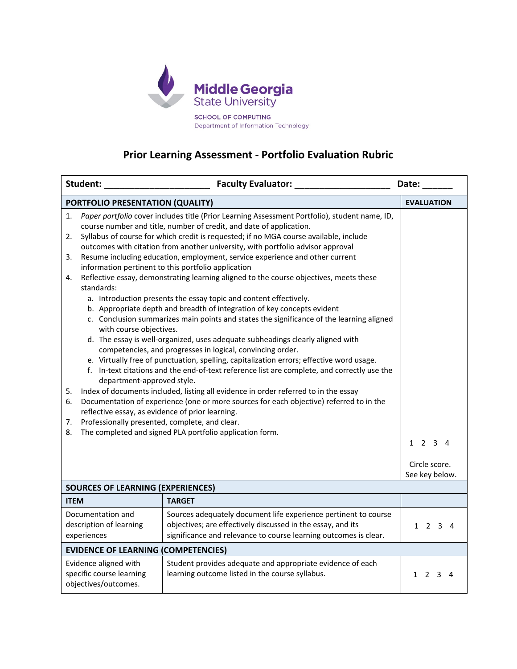

## **Prior Learning Assessment ‐ Portfolio Evaluation Rubric**

| Student:                                                                                                                                                                                                                                       | Faculty Evaluator: _                                                                                                                                                                               | Date:                           |  |  |
|------------------------------------------------------------------------------------------------------------------------------------------------------------------------------------------------------------------------------------------------|----------------------------------------------------------------------------------------------------------------------------------------------------------------------------------------------------|---------------------------------|--|--|
|                                                                                                                                                                                                                                                | PORTFOLIO PRESENTATION (QUALITY)                                                                                                                                                                   | <b>EVALUATION</b>               |  |  |
| Paper portfolio cover includes title (Prior Learning Assessment Portfolio), student name, ID,<br>1.<br>course number and title, number of credit, and date of application.                                                                     |                                                                                                                                                                                                    |                                 |  |  |
| Syllabus of course for which credit is requested; if no MGA course available, include<br>2.<br>outcomes with citation from another university, with portfolio advisor approval                                                                 |                                                                                                                                                                                                    |                                 |  |  |
| Resume including education, employment, service experience and other current<br>3.<br>information pertinent to this portfolio application                                                                                                      |                                                                                                                                                                                                    |                                 |  |  |
| Reflective essay, demonstrating learning aligned to the course objectives, meets these<br>4.<br>standards:                                                                                                                                     |                                                                                                                                                                                                    |                                 |  |  |
|                                                                                                                                                                                                                                                | a. Introduction presents the essay topic and content effectively.<br>b. Appropriate depth and breadth of integration of key concepts evident                                                       |                                 |  |  |
| c. Conclusion summarizes main points and states the significance of the learning aligned<br>with course objectives.                                                                                                                            |                                                                                                                                                                                                    |                                 |  |  |
| d. The essay is well-organized, uses adequate subheadings clearly aligned with<br>competencies, and progresses in logical, convincing order.                                                                                                   |                                                                                                                                                                                                    |                                 |  |  |
| e. Virtually free of punctuation, spelling, capitalization errors; effective word usage.<br>f. In-text citations and the end-of-text reference list are complete, and correctly use the<br>department-approved style.                          |                                                                                                                                                                                                    |                                 |  |  |
| Index of documents included, listing all evidence in order referred to in the essay<br>5.<br>Documentation of experience (one or more sources for each objective) referred to in the<br>6.<br>reflective essay, as evidence of prior learning. |                                                                                                                                                                                                    |                                 |  |  |
| Professionally presented, complete, and clear.<br>7.<br>The completed and signed PLA portfolio application form.<br>8.                                                                                                                         |                                                                                                                                                                                                    |                                 |  |  |
|                                                                                                                                                                                                                                                |                                                                                                                                                                                                    | $1 \t2 \t3 \t4$                 |  |  |
|                                                                                                                                                                                                                                                |                                                                                                                                                                                                    | Circle score.<br>See key below. |  |  |
| <b>SOURCES OF LEARNING (EXPERIENCES)</b>                                                                                                                                                                                                       |                                                                                                                                                                                                    |                                 |  |  |
| <b>ITEM</b>                                                                                                                                                                                                                                    | <b>TARGET</b>                                                                                                                                                                                      |                                 |  |  |
| Documentation and<br>description of learning<br>experiences                                                                                                                                                                                    | Sources adequately document life experience pertinent to course<br>objectives; are effectively discussed in the essay, and its<br>significance and relevance to course learning outcomes is clear. | 1 2 3 4                         |  |  |
| <b>EVIDENCE OF LEARNING (COMPETENCIES)</b>                                                                                                                                                                                                     |                                                                                                                                                                                                    |                                 |  |  |
| Evidence aligned with<br>specific course learning<br>objectives/outcomes.                                                                                                                                                                      | Student provides adequate and appropriate evidence of each<br>learning outcome listed in the course syllabus.                                                                                      | $\mathcal{P}$<br>1<br>3<br>-4   |  |  |